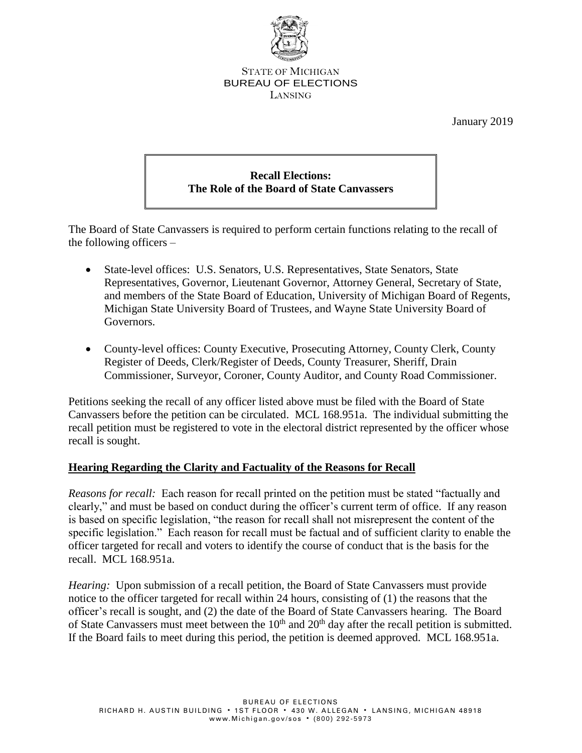

#### STATE OF MICHIGAN BUREAU OF ELECTIONS LANSING

January 2019

# **Recall Elections: The Role of the Board of State Canvassers**

The Board of State Canvassers is required to perform certain functions relating to the recall of the following officers –

- State-level offices: U.S. Senators, U.S. Representatives, State Senators, State Representatives, Governor, Lieutenant Governor, Attorney General, Secretary of State, and members of the State Board of Education, University of Michigan Board of Regents, Michigan State University Board of Trustees, and Wayne State University Board of Governors.
- County-level offices: County Executive, Prosecuting Attorney, County Clerk, County Register of Deeds, Clerk/Register of Deeds, County Treasurer, Sheriff, Drain Commissioner, Surveyor, Coroner, County Auditor, and County Road Commissioner.

Petitions seeking the recall of any officer listed above must be filed with the Board of State Canvassers before the petition can be circulated. MCL 168.951a. The individual submitting the recall petition must be registered to vote in the electoral district represented by the officer whose recall is sought.

#### **Hearing Regarding the Clarity and Factuality of the Reasons for Recall**

*Reasons for recall:* Each reason for recall printed on the petition must be stated "factually and clearly," and must be based on conduct during the officer's current term of office. If any reason is based on specific legislation, "the reason for recall shall not misrepresent the content of the specific legislation." Each reason for recall must be factual and of sufficient clarity to enable the officer targeted for recall and voters to identify the course of conduct that is the basis for the recall. MCL 168.951a.

*Hearing:* Upon submission of a recall petition, the Board of State Canvassers must provide notice to the officer targeted for recall within 24 hours, consisting of (1) the reasons that the officer's recall is sought, and (2) the date of the Board of State Canvassers hearing. The Board of State Canvassers must meet between the 10<sup>th</sup> and 20<sup>th</sup> day after the recall petition is submitted. If the Board fails to meet during this period, the petition is deemed approved. MCL 168.951a.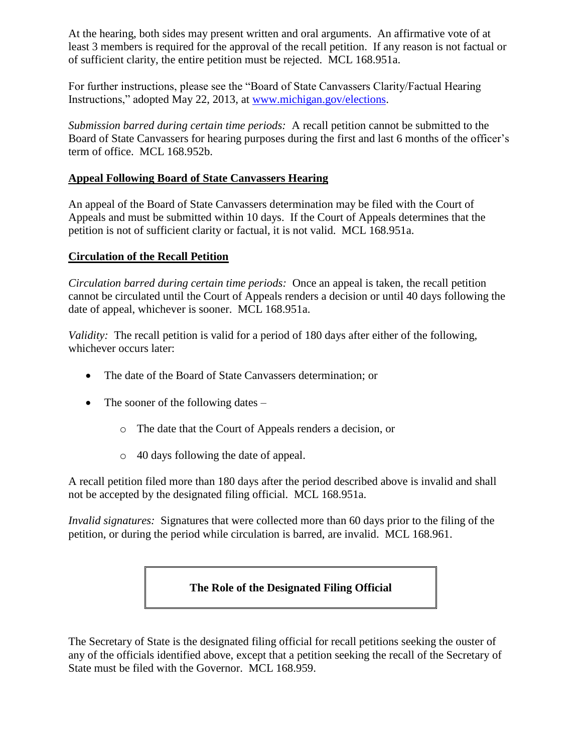At the hearing, both sides may present written and oral arguments. An affirmative vote of at least 3 members is required for the approval of the recall petition. If any reason is not factual or of sufficient clarity, the entire petition must be rejected. MCL 168.951a.

For further instructions, please see the "Board of State Canvassers Clarity/Factual Hearing Instructions," adopted May 22, 2013, at [www.michigan.gov/elections.](http://www.michigan.gov/elections)

*Submission barred during certain time periods:* A recall petition cannot be submitted to the Board of State Canvassers for hearing purposes during the first and last 6 months of the officer's term of office. MCL 168.952b.

#### **Appeal Following Board of State Canvassers Hearing**

An appeal of the Board of State Canvassers determination may be filed with the Court of Appeals and must be submitted within 10 days. If the Court of Appeals determines that the petition is not of sufficient clarity or factual, it is not valid. MCL 168.951a.

#### **Circulation of the Recall Petition**

*Circulation barred during certain time periods:* Once an appeal is taken, the recall petition cannot be circulated until the Court of Appeals renders a decision or until 40 days following the date of appeal, whichever is sooner. MCL 168.951a.

*Validity:* The recall petition is valid for a period of 180 days after either of the following, whichever occurs later:

- The date of the Board of State Canvassers determination; or
- The sooner of the following dates
	- o The date that the Court of Appeals renders a decision, or
	- o 40 days following the date of appeal.

A recall petition filed more than 180 days after the period described above is invalid and shall not be accepted by the designated filing official. MCL 168.951a.

*Invalid signatures:* Signatures that were collected more than 60 days prior to the filing of the petition, or during the period while circulation is barred, are invalid. MCL 168.961.

## **The Role of the Designated Filing Official**

The Secretary of State is the designated filing official for recall petitions seeking the ouster of any of the officials identified above, except that a petition seeking the recall of the Secretary of State must be filed with the Governor. MCL 168.959.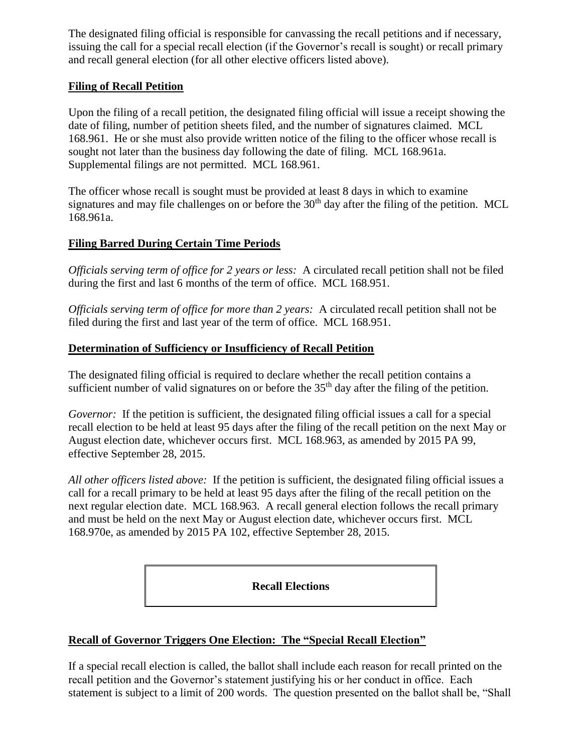The designated filing official is responsible for canvassing the recall petitions and if necessary, issuing the call for a special recall election (if the Governor's recall is sought) or recall primary and recall general election (for all other elective officers listed above).

#### **Filing of Recall Petition**

Upon the filing of a recall petition, the designated filing official will issue a receipt showing the date of filing, number of petition sheets filed, and the number of signatures claimed. MCL 168.961. He or she must also provide written notice of the filing to the officer whose recall is sought not later than the business day following the date of filing. MCL 168.961a. Supplemental filings are not permitted. MCL 168.961.

The officer whose recall is sought must be provided at least 8 days in which to examine signatures and may file challenges on or before the  $30<sup>th</sup>$  day after the filing of the petition. MCL 168.961a.

#### **Filing Barred During Certain Time Periods**

*Officials serving term of office for 2 years or less:* A circulated recall petition shall not be filed during the first and last 6 months of the term of office. MCL 168.951.

*Officials serving term of office for more than 2 years:* A circulated recall petition shall not be filed during the first and last year of the term of office. MCL 168.951.

#### **Determination of Sufficiency or Insufficiency of Recall Petition**

The designated filing official is required to declare whether the recall petition contains a sufficient number of valid signatures on or before the  $35<sup>th</sup>$  day after the filing of the petition.

*Governor:* If the petition is sufficient, the designated filing official issues a call for a special recall election to be held at least 95 days after the filing of the recall petition on the next May or August election date, whichever occurs first. MCL 168.963, as amended by 2015 PA 99, effective September 28, 2015.

*All other officers listed above:* If the petition is sufficient, the designated filing official issues a call for a recall primary to be held at least 95 days after the filing of the recall petition on the next regular election date. MCL 168.963. A recall general election follows the recall primary and must be held on the next May or August election date, whichever occurs first. MCL 168.970e, as amended by 2015 PA 102, effective September 28, 2015.

**Recall Elections**

### **Recall of Governor Triggers One Election: The "Special Recall Election"**

If a special recall election is called, the ballot shall include each reason for recall printed on the recall petition and the Governor's statement justifying his or her conduct in office. Each statement is subject to a limit of 200 words. The question presented on the ballot shall be, "Shall